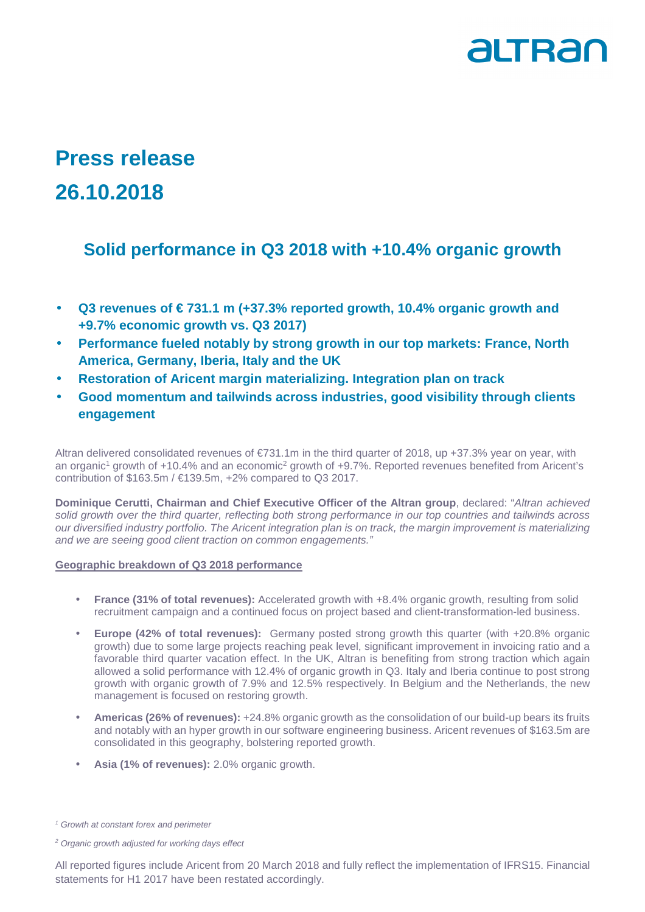# altran

## **Press release 26.10.2018**

## **Solid performance in Q3 2018 with +10.4% organic growth**

- **Q3 revenues of € 731.1 m (+37.3% reported growth, 10.4% organic growth and +9.7% economic growth vs. Q3 2017)**
- **Performance fueled notably by strong growth in our top markets: France, North America, Germany, Iberia, Italy and the UK**
- **Restoration of Aricent margin materializing. Integration plan on track**
- **Good momentum and tailwinds across industries, good visibility through clients engagement**

Altran delivered consolidated revenues of €731.1m in the third quarter of 2018, up +37.3% year on year, with an organic<sup>1</sup> growth of +10.4% and an economic<sup>2</sup> growth of +9.7%. Reported revenues benefited from Aricent's contribution of  $$163.5m / 6139.5m$ ,  $+2\%$  compared to Q3 2017.

**Dominique Cerutti, Chairman and Chief Executive Officer of the Altran group**, declared: "Altran achieved solid growth over the third quarter, reflecting both strong performance in our top countries and tailwinds across our diversified industry portfolio. The Aricent integration plan is on track, the margin improvement is materializing and we are seeing good client traction on common engagements."

### **Geographic breakdown of Q3 2018 performance**

- **France (31% of total revenues):** Accelerated growth with +8.4% organic growth, resulting from solid recruitment campaign and a continued focus on project based and client-transformation-led business.
- **Europe (42% of total revenues):** Germany posted strong growth this quarter (with +20.8% organic growth) due to some large projects reaching peak level, significant improvement in invoicing ratio and a favorable third quarter vacation effect. In the UK, Altran is benefiting from strong traction which again allowed a solid performance with 12.4% of organic growth in Q3. Italy and Iberia continue to post strong growth with organic growth of 7.9% and 12.5% respectively. In Belgium and the Netherlands, the new management is focused on restoring growth.
- **Americas (26% of revenues):** +24.8% organic growth as the consolidation of our build-up bears its fruits and notably with an hyper growth in our software engineering business. Aricent revenues of \$163.5m are consolidated in this geography, bolstering reported growth.
- **Asia (1% of revenues):** 2.0% organic growth.

All reported figures include Aricent from 20 March 2018 and fully reflect the implementation of IFRS15. Financial statements for H1 2017 have been restated accordingly.

<sup>&</sup>lt;sup>1</sup> Growth at constant forex and perimeter

<sup>&</sup>lt;sup>2</sup> Organic growth adjusted for working days effect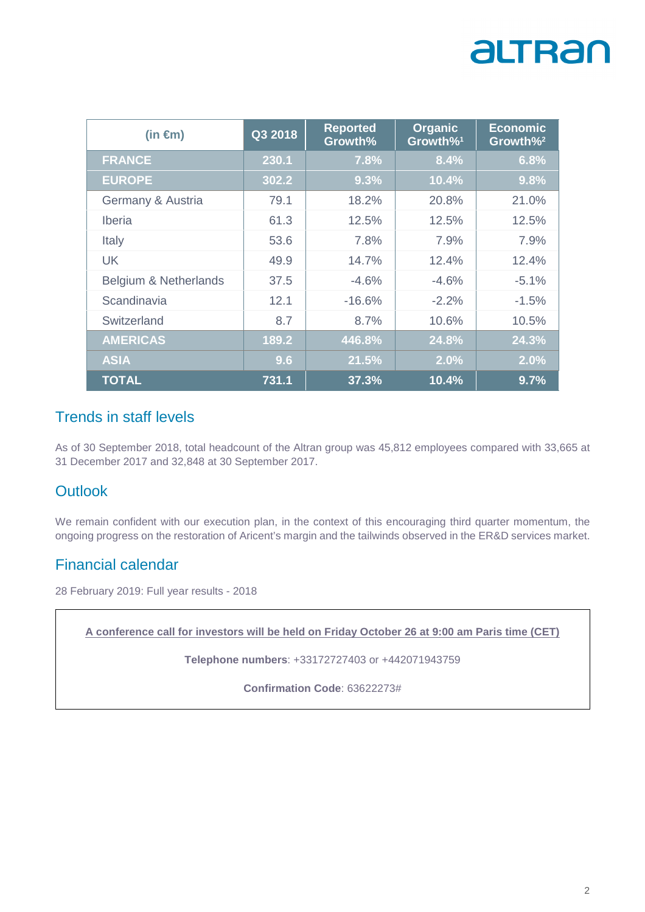# altran

| (in $\epsilon$ m)     | Q3 2018 | <b>Reported</b><br>Growth% | <b>Organic</b><br>Growth% <sup>1</sup> | <b>Economic</b><br>Growth% <sup>2</sup> |
|-----------------------|---------|----------------------------|----------------------------------------|-----------------------------------------|
| <b>FRANCE</b>         | 230.1   | 7.8%                       | 8.4%                                   | 6.8%                                    |
| <b>EUROPE</b>         | 302.2   | 9.3%                       | 10.4%                                  | 9.8%                                    |
| Germany & Austria     | 79.1    | 18.2%                      | 20.8%                                  | 21.0%                                   |
| <b>Iberia</b>         | 61.3    | 12.5%                      | 12.5%                                  | 12.5%                                   |
| Italy                 | 53.6    | 7.8%                       | 7.9%                                   | 7.9%                                    |
| <b>UK</b>             | 49.9    | 14.7%                      | 12.4%                                  | 12.4%                                   |
| Belgium & Netherlands | 37.5    | $-4.6%$                    | $-4.6%$                                | $-5.1%$                                 |
| Scandinavia           | 12.1    | $-16.6%$                   | $-2.2%$                                | $-1.5%$                                 |
| Switzerland           | 8.7     | 8.7%                       | 10.6%                                  | 10.5%                                   |
| <b>AMERICAS</b>       | 189.2   | 446.8%                     | 24.8%                                  | 24.3%                                   |
| <b>ASIA</b>           | 9.6     | 21.5%                      | 2.0%                                   | 2.0%                                    |
| <b>TOTAL</b>          | 731.1   | 37.3%                      | 10.4%                                  | 9.7%                                    |

### Trends in staff levels

As of 30 September 2018, total headcount of the Altran group was 45,812 employees compared with 33,665 at 31 December 2017 and 32,848 at 30 September 2017.

### **Outlook**

We remain confident with our execution plan, in the context of this encouraging third quarter momentum, the ongoing progress on the restoration of Aricent's margin and the tailwinds observed in the ER&D services market.

### Financial calendar

28 February 2019: Full year results - 2018